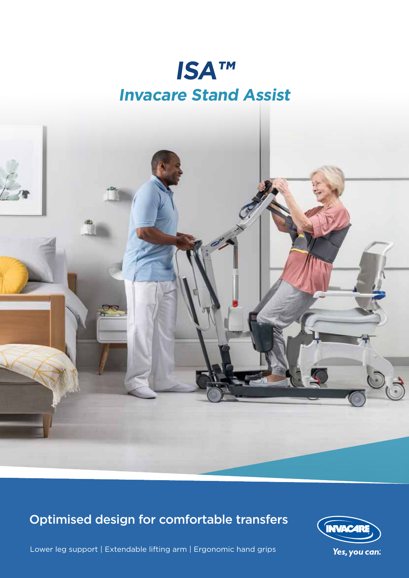## **ISA**™ **Invacare Stand Assist**



## Optimised design for comfortable transfers



Lower leg support | Extendable lifting arm | Ergonomic hand grips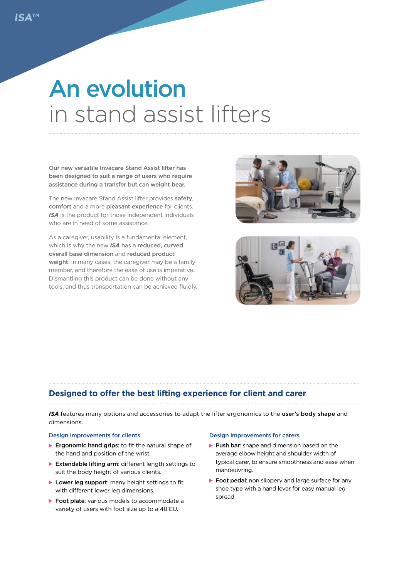## An evolution in stand assist lifters

Our new versatile Invacare Stand Assist lifter has been designed to suit a range of users who require assistance during a transfer but can weight bear.

The new Invacare Stand Assist lifter provides safety, comfort and a more pleasant experience for clients. *ISA* is the product for those independent individuals who are in need of some assistance.

As a caregiver, usability is a fundamental element, which is why the new *ISA* has a reduced, curved overall base dimension and reduced product weight. In many cases, the caregiver may be a family member, and therefore the ease of use is imperative. Dismantling this product can be done without any tools, and thus transportation can be achieved fluidly.





#### **Designed to offer the best lifting experience for client and carer**

*ISA* features many options and accessories to adapt the lifter ergonomics to the user's body shape and dimensions.

#### Design improvements for clients

- **Ergonomic hand grips:** to fit the natural shape of the hand and position of the wrist.
- ▶ Extendable lifting arm: different length settings to suit the body height of various clients.
- Lower leg support: many height settings to fit with different lower leg dimensions.
- ▶ Foot plate: various models to accommodate a variety of users with foot size up to a 48 EU.

#### Design improvements for carers

- Push bar: shape and dimension based on the average elbow height and shoulder width of typical carer, to ensure smoothness and ease when manoeuvring.
- ▶ Foot pedal: non slippery and large surface for any shoe type with a hand lever for easy manual leg spread.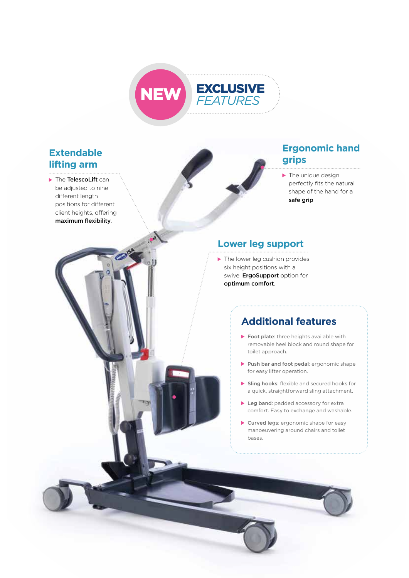

### **Extendable lifting arm**

▶ The TelescoLift can be adjusted to nine different length positions for different client heights, offering maximum flexibility.

#### **Ergonomic hand grips**

The unique design perfectly fits the natural shape of the hand for a safe grip.

#### **Lower leg support**

 $\blacktriangleright$  The lower leg cushion provides six height positions with a swivel ErgoSupport option for optimum comfort.

### **Additional features**

- Foot plate: three heights available with removable heel block and round shape for toilet approach.
- Push bar and foot pedal: ergonomic shape for easy lifter operation.
- Sling hooks: flexible and secured hooks for a quick, straightforward sling attachment.
- Leg band: padded accessory for extra comfort. Easy to exchange and washable.
- Curved legs: ergonomic shape for easy manoeuvering around chairs and toilet bases.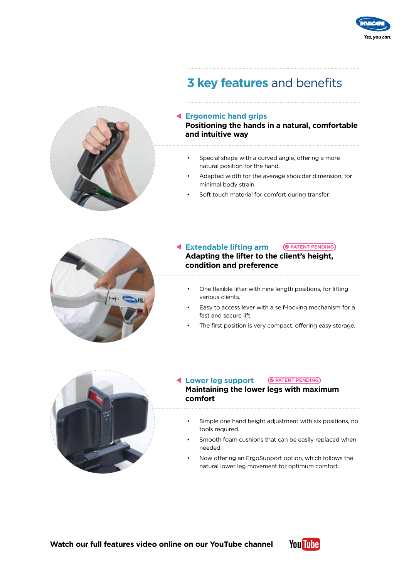

## **3 key features** and benefits



#### **Ergonomic hand grips**

**Positioning the hands in a natural, comfortable and intuitive way**

- Special shape with a curved angle, offering a more natural position for the hand.
- Adapted width for the average shoulder dimension, for minimal body strain.
- Soft touch material for comfort during transfer.



#### **Extendable lifting arm PATENT PENDING**

**Adapting the lifter to the client's height, condition and preference**

- One flexible lifter with nine length positions, for lifting various clients.
- Easy to access lever with a self-locking mechanism for a fast and secure lift.
- The first position is very compact, offering easy storage.



#### **Lower leg support Maintaining the lower legs with maximum comfort PATENT PENDING**

- Simple one hand height adjustment with six positions, no tools required.
- Smooth foam cushions that can be easily replaced when needed.
- Now offering an ErgoSupport option, which follows the natural lower leg movement for optimum comfort.

**Watch our full features video online on our YouTube channel**

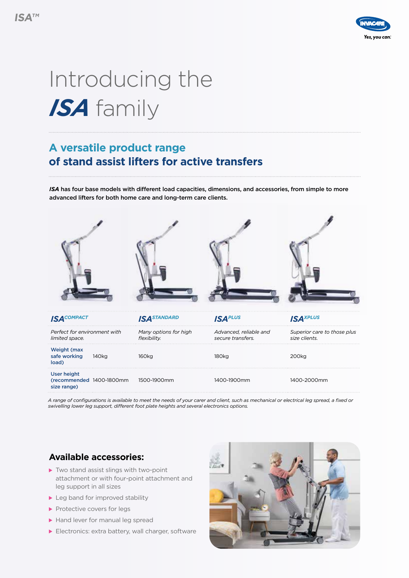

# Introducing the *ISA* family

## **A versatile product range of stand assist lifters for active transfers**

*ISA* has four base models with different load capacities, dimensions, and accessories, from simple to more advanced lifters for both home care and long-term care clients.



*A range of configurations is available to meet the needs of your carer and client, such as mechanical or electrical leg spread, a fixed or swivelling lower leg support, different foot plate heights and several electronics options.*

#### **Available accessories:**

- ▶ Two stand assist slings with two-point attachment or with four-point attachment and leg support in all sizes
- ▶ Leg band for improved stability
- Protective covers for legs
- Hand lever for manual leg spread
- Electronics: extra battery, wall charger, software